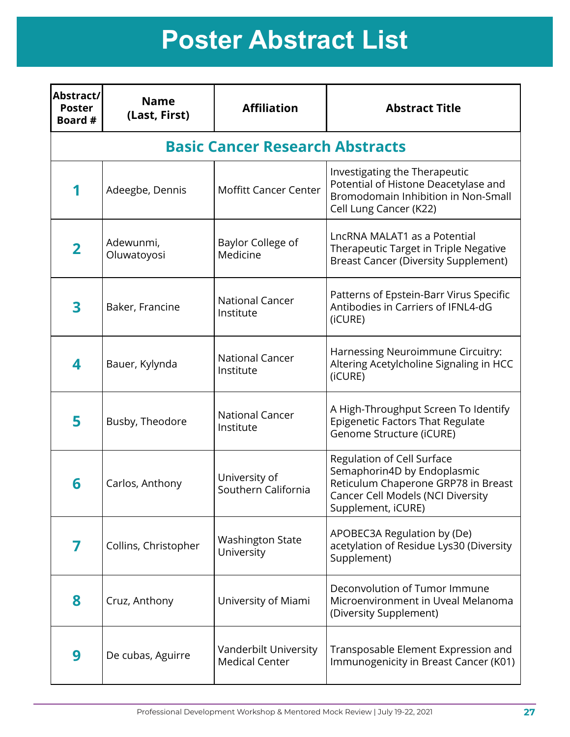| Abstract/<br><b>Poster</b><br>Board # | <b>Name</b><br>(Last, First) | <b>Affiliation</b>                             | <b>Abstract Title</b>                                                                                                                                              |
|---------------------------------------|------------------------------|------------------------------------------------|--------------------------------------------------------------------------------------------------------------------------------------------------------------------|
|                                       |                              | <b>Basic Cancer Research Abstracts</b>         |                                                                                                                                                                    |
|                                       | Adeegbe, Dennis              | Moffitt Cancer Center                          | Investigating the Therapeutic<br>Potential of Histone Deacetylase and<br>Bromodomain Inhibition in Non-Small<br>Cell Lung Cancer (K22)                             |
| $\overline{\mathbf{2}}$               | Adewunmi,<br>Oluwatoyosi     | Baylor College of<br>Medicine                  | LncRNA MALAT1 as a Potential<br>Therapeutic Target in Triple Negative<br><b>Breast Cancer (Diversity Supplement)</b>                                               |
| 3                                     | Baker, Francine              | <b>National Cancer</b><br>Institute            | Patterns of Epstein-Barr Virus Specific<br>Antibodies in Carriers of IFNL4-dG<br>(iCURE)                                                                           |
| 4                                     | Bauer, Kylynda               | <b>National Cancer</b><br>Institute            | Harnessing Neuroimmune Circuitry:<br>Altering Acetylcholine Signaling in HCC<br>(iCURE)                                                                            |
| 5                                     | Busby, Theodore              | <b>National Cancer</b><br>Institute            | A High-Throughput Screen To Identify<br><b>Epigenetic Factors That Regulate</b><br>Genome Structure (iCURE)                                                        |
| 6                                     | Carlos, Anthony              | University of<br>Southern California           | Regulation of Cell Surface<br>Semaphorin4D by Endoplasmic<br>Reticulum Chaperone GRP78 in Breast<br><b>Cancer Cell Models (NCI Diversity</b><br>Supplement, iCURE) |
|                                       | Collins, Christopher         | <b>Washington State</b><br>University          | APOBEC3A Regulation by (De)<br>acetylation of Residue Lys30 (Diversity<br>Supplement)                                                                              |
| 8                                     | Cruz, Anthony                | University of Miami                            | Deconvolution of Tumor Immune<br>Microenvironment in Uveal Melanoma<br>(Diversity Supplement)                                                                      |
| 9                                     | De cubas, Aguirre            | Vanderbilt University<br><b>Medical Center</b> | Transposable Element Expression and<br>Immunogenicity in Breast Cancer (K01)                                                                                       |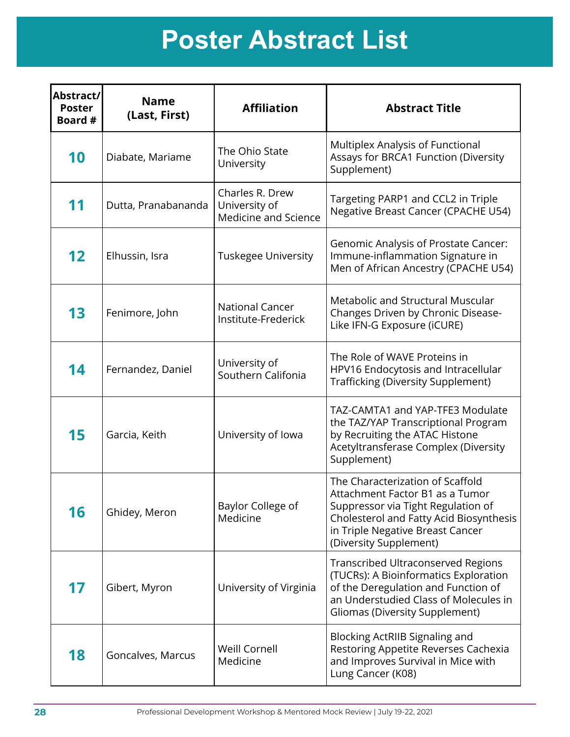| Abstract/<br><b>Poster</b><br>Board # | <b>Name</b><br>(Last, First) | <b>Affiliation</b>                                       | <b>Abstract Title</b>                                                                                                                                                                                              |
|---------------------------------------|------------------------------|----------------------------------------------------------|--------------------------------------------------------------------------------------------------------------------------------------------------------------------------------------------------------------------|
| 10                                    | Diabate, Mariame             | The Ohio State<br>University                             | Multiplex Analysis of Functional<br>Assays for BRCA1 Function (Diversity<br>Supplement)                                                                                                                            |
| 11                                    | Dutta, Pranabananda          | Charles R. Drew<br>University of<br>Medicine and Science | Targeting PARP1 and CCL2 in Triple<br><b>Negative Breast Cancer (CPACHE U54)</b>                                                                                                                                   |
| 12                                    | Elhussin, Isra               | <b>Tuskegee University</b>                               | Genomic Analysis of Prostate Cancer:<br>Immune-inflammation Signature in<br>Men of African Ancestry (CPACHE U54)                                                                                                   |
| 13                                    | Fenimore, John               | <b>National Cancer</b><br>Institute-Frederick            | Metabolic and Structural Muscular<br>Changes Driven by Chronic Disease-<br>Like IFN-G Exposure (iCURE)                                                                                                             |
| 14                                    | Fernandez, Daniel            | University of<br>Southern Califonia                      | The Role of WAVE Proteins in<br>HPV16 Endocytosis and Intracellular<br><b>Trafficking (Diversity Supplement)</b>                                                                                                   |
| 15                                    | Garcia, Keith                | University of Iowa                                       | TAZ-CAMTA1 and YAP-TFE3 Modulate<br>the TAZ/YAP Transcriptional Program<br>by Recruiting the ATAC Histone<br>Acetyltransferase Complex (Diversity<br>Supplement)                                                   |
| 16                                    | Ghidey, Meron                | Baylor College of<br>Medicine                            | The Characterization of Scaffold<br>Attachment Factor B1 as a Tumor<br>Suppressor via Tight Regulation of<br>Cholesterol and Fatty Acid Biosynthesis<br>in Triple Negative Breast Cancer<br>(Diversity Supplement) |
| 17                                    | Gibert, Myron                | University of Virginia                                   | <b>Transcribed Ultraconserved Regions</b><br>(TUCRs): A Bioinformatics Exploration<br>of the Deregulation and Function of<br>an Understudied Class of Molecules in<br><b>Gliomas (Diversity Supplement)</b>        |
| 18                                    | Goncalves, Marcus            | Weill Cornell<br>Medicine                                | Blocking ActRIIB Signaling and<br>Restoring Appetite Reverses Cachexia<br>and Improves Survival in Mice with<br>Lung Cancer (K08)                                                                                  |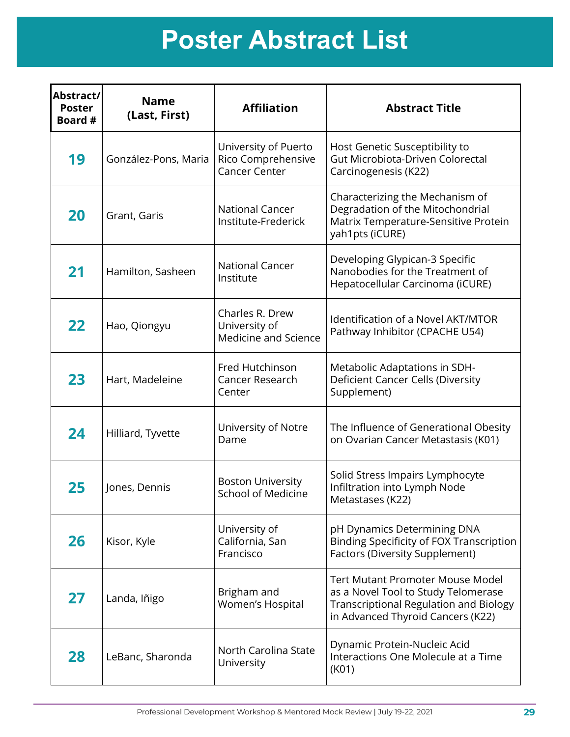| Abstract/<br><b>Poster</b><br>Board # | <b>Name</b><br>(Last, First) | <b>Affiliation</b>                                                 | <b>Abstract Title</b>                                                                                                                                                |
|---------------------------------------|------------------------------|--------------------------------------------------------------------|----------------------------------------------------------------------------------------------------------------------------------------------------------------------|
| 19                                    | González-Pons, Maria         | University of Puerto<br>Rico Comprehensive<br><b>Cancer Center</b> | Host Genetic Susceptibility to<br>Gut Microbiota-Driven Colorectal<br>Carcinogenesis (K22)                                                                           |
| 20                                    | Grant, Garis                 | <b>National Cancer</b><br>Institute-Frederick                      | Characterizing the Mechanism of<br>Degradation of the Mitochondrial<br>Matrix Temperature-Sensitive Protein<br>yah1pts (iCURE)                                       |
| 21                                    | Hamilton, Sasheen            | <b>National Cancer</b><br>Institute                                | Developing Glypican-3 Specific<br>Nanobodies for the Treatment of<br>Hepatocellular Carcinoma (iCURE)                                                                |
| 22                                    | Hao, Qiongyu                 | Charles R. Drew<br>University of<br>Medicine and Science           | <b>Identification of a Novel AKT/MTOR</b><br>Pathway Inhibitor (CPACHE U54)                                                                                          |
| 23                                    | Hart, Madeleine              | Fred Hutchinson<br>Cancer Research<br>Center                       | Metabolic Adaptations in SDH-<br>Deficient Cancer Cells (Diversity<br>Supplement)                                                                                    |
| 24                                    | Hilliard, Tyvette            | University of Notre<br>Dame                                        | The Influence of Generational Obesity<br>on Ovarian Cancer Metastasis (K01)                                                                                          |
| 25                                    | Jones, Dennis                | <b>Boston University</b><br><b>School of Medicine</b>              | Solid Stress Impairs Lymphocyte<br>Infiltration into Lymph Node<br>Metastases (K22)                                                                                  |
| 26                                    | Kisor, Kyle                  | University of<br>California, San<br>Francisco                      | pH Dynamics Determining DNA<br><b>Binding Specificity of FOX Transcription</b><br><b>Factors (Diversity Supplement)</b>                                              |
| 27                                    | Landa, Iñigo                 | Brigham and<br>Women's Hospital                                    | <b>Tert Mutant Promoter Mouse Model</b><br>as a Novel Tool to Study Telomerase<br><b>Transcriptional Regulation and Biology</b><br>in Advanced Thyroid Cancers (K22) |
| 28                                    | LeBanc, Sharonda             | North Carolina State<br>University                                 | Dynamic Protein-Nucleic Acid<br>Interactions One Molecule at a Time<br>(K01)                                                                                         |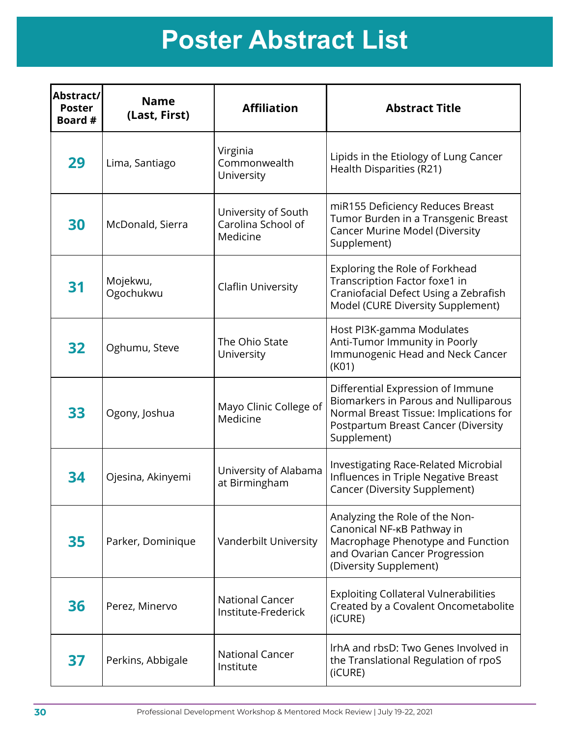| Abstract/<br><b>Poster</b><br>Board # | <b>Name</b><br>(Last, First) | <b>Affiliation</b>                                    | <b>Abstract Title</b>                                                                                                                                                     |
|---------------------------------------|------------------------------|-------------------------------------------------------|---------------------------------------------------------------------------------------------------------------------------------------------------------------------------|
| 29                                    | Lima, Santiago               | Virginia<br>Commonwealth<br>University                | Lipids in the Etiology of Lung Cancer<br>Health Disparities (R21)                                                                                                         |
| 30                                    | McDonald, Sierra             | University of South<br>Carolina School of<br>Medicine | miR155 Deficiency Reduces Breast<br>Tumor Burden in a Transgenic Breast<br><b>Cancer Murine Model (Diversity</b><br>Supplement)                                           |
| 31                                    | Mojekwu,<br>Ogochukwu        | <b>Claflin University</b>                             | Exploring the Role of Forkhead<br>Transcription Factor foxe1 in<br>Craniofacial Defect Using a Zebrafish<br>Model (CURE Diversity Supplement)                             |
| 32                                    | Oghumu, Steve                | The Ohio State<br>University                          | Host PI3K-gamma Modulates<br>Anti-Tumor Immunity in Poorly<br>Immunogenic Head and Neck Cancer<br>(K01)                                                                   |
| 33                                    | Ogony, Joshua                | Mayo Clinic College of<br>Medicine                    | Differential Expression of Immune<br>Biomarkers in Parous and Nulliparous<br>Normal Breast Tissue: Implications for<br>Postpartum Breast Cancer (Diversity<br>Supplement) |
| 34                                    | Ojesina, Akinyemi            | University of Alabama<br>at Birmingham                | <b>Investigating Race-Related Microbial</b><br>Influences in Triple Negative Breast<br><b>Cancer (Diversity Supplement)</b>                                               |
| 35                                    | Parker, Dominique            | Vanderbilt University                                 | Analyzing the Role of the Non-<br>Canonical NF-KB Pathway in<br>Macrophage Phenotype and Function<br>and Ovarian Cancer Progression<br>(Diversity Supplement)             |
| 36                                    | Perez, Minervo               | <b>National Cancer</b><br>Institute-Frederick         | <b>Exploiting Collateral Vulnerabilities</b><br>Created by a Covalent Oncometabolite<br>(iCURE)                                                                           |
| 37                                    | Perkins, Abbigale            | <b>National Cancer</b><br>Institute                   | IrhA and rbsD: Two Genes Involved in<br>the Translational Regulation of rpoS<br>(iCURE)                                                                                   |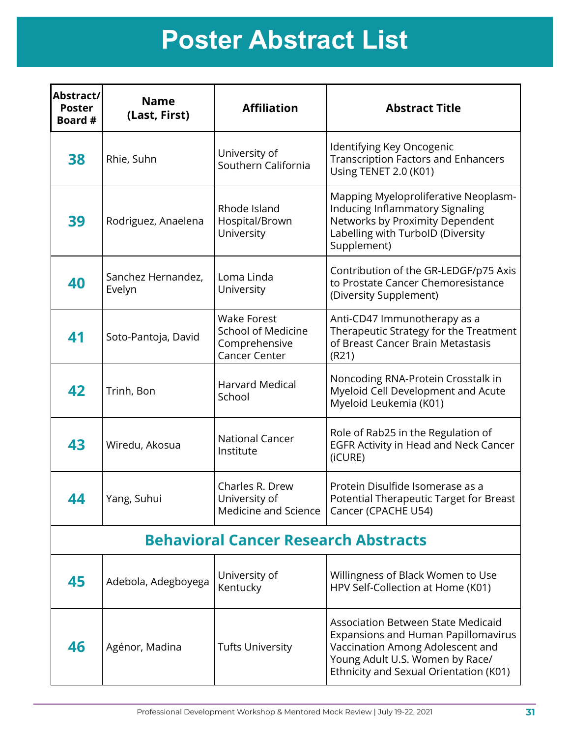| Abstract/<br><b>Poster</b><br>Board # | <b>Name</b><br>(Last, First) | <b>Affiliation</b>                                                                       | <b>Abstract Title</b>                                                                                                                                                                             |
|---------------------------------------|------------------------------|------------------------------------------------------------------------------------------|---------------------------------------------------------------------------------------------------------------------------------------------------------------------------------------------------|
| 38                                    | Rhie, Suhn                   | University of<br>Southern California                                                     | Identifying Key Oncogenic<br><b>Transcription Factors and Enhancers</b><br>Using TENET 2.0 (K01)                                                                                                  |
| 39                                    | Rodriguez, Anaelena          | Rhode Island<br>Hospital/Brown<br>University                                             | Mapping Myeloproliferative Neoplasm-<br>Inducing Inflammatory Signaling<br>Networks by Proximity Dependent<br>Labelling with TurbolD (Diversity<br>Supplement)                                    |
| 40                                    | Sanchez Hernandez,<br>Evelyn | Loma Linda<br>University                                                                 | Contribution of the GR-LEDGF/p75 Axis<br>to Prostate Cancer Chemoresistance<br>(Diversity Supplement)                                                                                             |
| 41                                    | Soto-Pantoja, David          | <b>Wake Forest</b><br><b>School of Medicine</b><br>Comprehensive<br><b>Cancer Center</b> | Anti-CD47 Immunotherapy as a<br>Therapeutic Strategy for the Treatment<br>of Breast Cancer Brain Metastasis<br>(R21)                                                                              |
| 42                                    | Trinh, Bon                   | <b>Harvard Medical</b><br>School                                                         | Noncoding RNA-Protein Crosstalk in<br>Myeloid Cell Development and Acute<br>Myeloid Leukemia (K01)                                                                                                |
| 43                                    | Wiredu, Akosua               | <b>National Cancer</b><br>Institute                                                      | Role of Rab25 in the Regulation of<br><b>EGFR Activity in Head and Neck Cancer</b><br>(iCURE)                                                                                                     |
| 44                                    | Yang, Suhui                  | Charles R. Drew<br>University of<br>Medicine and Science                                 | Protein Disulfide Isomerase as a<br>Potential Therapeutic Target for Breast<br>Cancer (CPACHE U54)                                                                                                |
|                                       |                              | <b>Behavioral Cancer Research Abstracts</b>                                              |                                                                                                                                                                                                   |
| 45                                    | Adebola, Adegboyega          | University of<br>Kentucky                                                                | Willingness of Black Women to Use<br>HPV Self-Collection at Home (K01)                                                                                                                            |
| 46                                    | Agénor, Madina               | <b>Tufts University</b>                                                                  | <b>Association Between State Medicaid</b><br>Expansions and Human Papillomavirus<br>Vaccination Among Adolescent and<br>Young Adult U.S. Women by Race/<br>Ethnicity and Sexual Orientation (K01) |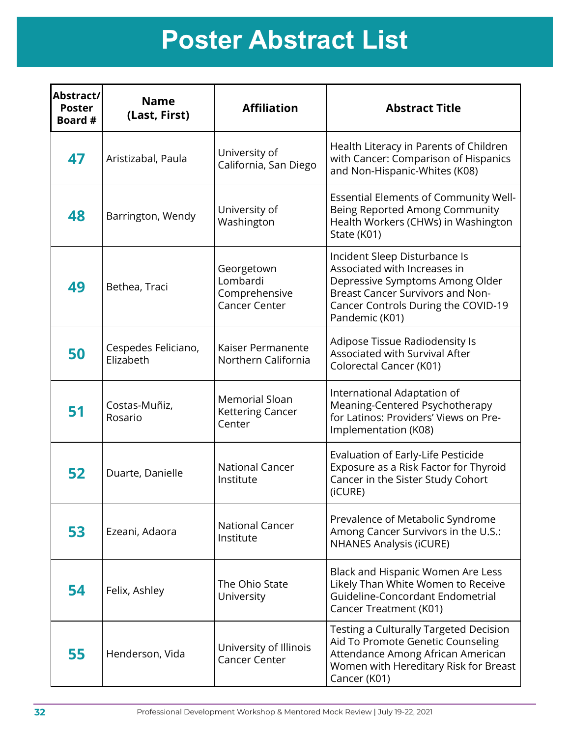| Abstract/<br><b>Poster</b><br>Board # | <b>Name</b><br>(Last, First)     | <b>Affiliation</b>                                              | <b>Abstract Title</b>                                                                                                                                                                                |
|---------------------------------------|----------------------------------|-----------------------------------------------------------------|------------------------------------------------------------------------------------------------------------------------------------------------------------------------------------------------------|
| 47                                    | Aristizabal, Paula               | University of<br>California, San Diego                          | Health Literacy in Parents of Children<br>with Cancer: Comparison of Hispanics<br>and Non-Hispanic-Whites (K08)                                                                                      |
| 48                                    | Barrington, Wendy                | University of<br>Washington                                     | Essential Elements of Community Well-<br>Being Reported Among Community<br>Health Workers (CHWs) in Washington<br>State (K01)                                                                        |
| 49                                    | Bethea, Traci                    | Georgetown<br>Lombardi<br>Comprehensive<br><b>Cancer Center</b> | Incident Sleep Disturbance Is<br>Associated with Increases in<br>Depressive Symptoms Among Older<br><b>Breast Cancer Survivors and Non-</b><br>Cancer Controls During the COVID-19<br>Pandemic (K01) |
| 50                                    | Cespedes Feliciano,<br>Elizabeth | Kaiser Permanente<br>Northern California                        | Adipose Tissue Radiodensity Is<br>Associated with Survival After<br>Colorectal Cancer (K01)                                                                                                          |
| 51                                    | Costas-Muñiz,<br>Rosario         | <b>Memorial Sloan</b><br><b>Kettering Cancer</b><br>Center      | International Adaptation of<br>Meaning-Centered Psychotherapy<br>for Latinos: Providers' Views on Pre-<br>Implementation (K08)                                                                       |
| 52                                    | Duarte, Danielle                 | <b>National Cancer</b><br>Institute                             | Evaluation of Early-Life Pesticide<br>Exposure as a Risk Factor for Thyroid<br>Cancer in the Sister Study Cohort<br>(iCURE)                                                                          |
| 53                                    | Ezeani, Adaora                   | <b>National Cancer</b><br>Institute                             | Prevalence of Metabolic Syndrome<br>Among Cancer Survivors in the U.S.:<br><b>NHANES Analysis (iCURE)</b>                                                                                            |
| 54                                    | Felix, Ashley                    | The Ohio State<br>University                                    | Black and Hispanic Women Are Less<br>Likely Than White Women to Receive<br>Guideline-Concordant Endometrial<br>Cancer Treatment (K01)                                                                |
| 55                                    | Henderson, Vida                  | University of Illinois<br><b>Cancer Center</b>                  | Testing a Culturally Targeted Decision<br>Aid To Promote Genetic Counseling<br>Attendance Among African American<br>Women with Hereditary Risk for Breast<br>Cancer (K01)                            |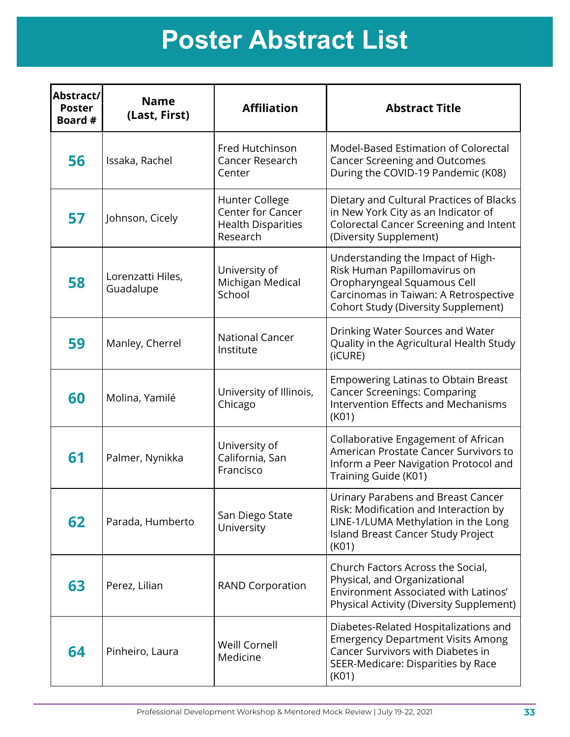| Abstract/<br><b>Poster</b><br>Board # | <b>Name</b><br>(Last, First)   | <b>Affiliation</b>                                                           | <b>Abstract Title</b>                                                                                                                                                                   |
|---------------------------------------|--------------------------------|------------------------------------------------------------------------------|-----------------------------------------------------------------------------------------------------------------------------------------------------------------------------------------|
| 56                                    | Issaka, Rachel                 | Fred Hutchinson<br><b>Cancer Research</b><br>Center                          | Model-Based Estimation of Colorectal<br><b>Cancer Screening and Outcomes</b><br>During the COVID-19 Pandemic (K08)                                                                      |
| 57                                    | Johnson, Cicely                | Hunter College<br>Center for Cancer<br><b>Health Disparities</b><br>Research | Dietary and Cultural Practices of Blacks<br>in New York City as an Indicator of<br><b>Colorectal Cancer Screening and Intent</b><br>(Diversity Supplement)                              |
| 58                                    | Lorenzatti Hiles,<br>Guadalupe | University of<br>Michigan Medical<br>School                                  | Understanding the Impact of High-<br>Risk Human Papillomavirus on<br>Oropharyngeal Squamous Cell<br>Carcinomas in Taiwan: A Retrospective<br><b>Cohort Study (Diversity Supplement)</b> |
| 59                                    | Manley, Cherrel                | <b>National Cancer</b><br>Institute                                          | Drinking Water Sources and Water<br>Quality in the Agricultural Health Study<br>(iCURE)                                                                                                 |
| 60                                    | Molina, Yamilé                 | University of Illinois,<br>Chicago                                           | <b>Empowering Latinas to Obtain Breast</b><br><b>Cancer Screenings: Comparing</b><br>Intervention Effects and Mechanisms<br>(K01)                                                       |
| 61                                    | Palmer, Nynikka                | University of<br>California, San<br>Francisco                                | Collaborative Engagement of African<br>American Prostate Cancer Survivors to<br>Inform a Peer Navigation Protocol and<br>Training Guide (K01)                                           |
| 62                                    | Parada, Humberto               | San Diego State<br>University                                                | Urinary Parabens and Breast Cancer<br>Risk: Modification and Interaction by<br>LINE-1/LUMA Methylation in the Long<br>Island Breast Cancer Study Project<br>(K01)                       |
| 63                                    | Perez, Lilian                  | <b>RAND Corporation</b>                                                      | Church Factors Across the Social,<br>Physical, and Organizational<br>Environment Associated with Latinos'<br>Physical Activity (Diversity Supplement)                                   |
| 64                                    | Pinheiro, Laura                | Weill Cornell<br>Medicine                                                    | Diabetes-Related Hospitalizations and<br><b>Emergency Department Visits Among</b><br>Cancer Survivors with Diabetes in<br>SEER-Medicare: Disparities by Race<br>(K01)                   |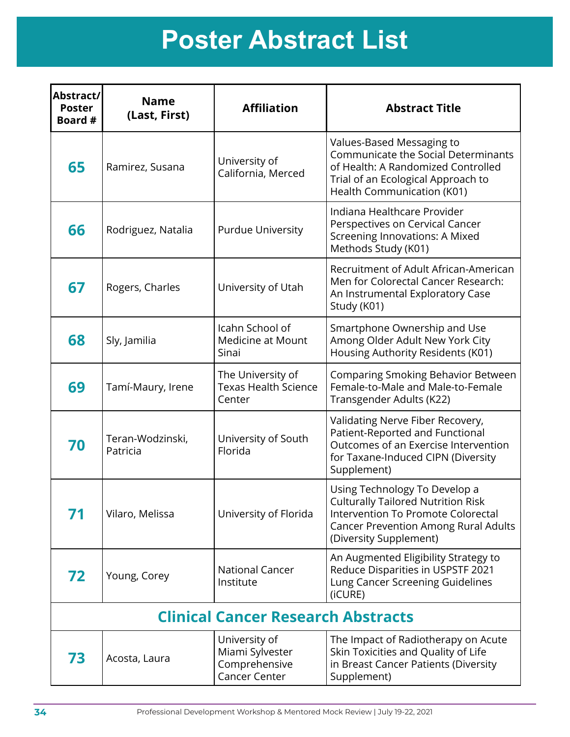| Abstract/<br><b>Poster</b><br>Board # | <b>Name</b><br>(Last, First) | <b>Affiliation</b>                                                        | <b>Abstract Title</b>                                                                                                                                                                     |
|---------------------------------------|------------------------------|---------------------------------------------------------------------------|-------------------------------------------------------------------------------------------------------------------------------------------------------------------------------------------|
| 65                                    | Ramirez, Susana              | University of<br>California, Merced                                       | Values-Based Messaging to<br>Communicate the Social Determinants<br>of Health: A Randomized Controlled<br>Trial of an Ecological Approach to<br>Health Communication (K01)                |
| 66                                    | Rodriguez, Natalia           | <b>Purdue University</b>                                                  | Indiana Healthcare Provider<br>Perspectives on Cervical Cancer<br>Screening Innovations: A Mixed<br>Methods Study (K01)                                                                   |
| 67                                    | Rogers, Charles              | University of Utah                                                        | Recruitment of Adult African-American<br>Men for Colorectal Cancer Research:<br>An Instrumental Exploratory Case<br>Study (K01)                                                           |
| 68                                    | Sly, Jamilia                 | Icahn School of<br><b>Medicine at Mount</b><br>Sinai                      | Smartphone Ownership and Use<br>Among Older Adult New York City<br>Housing Authority Residents (K01)                                                                                      |
| 69                                    | Tamí-Maury, Irene            | The University of<br><b>Texas Health Science</b><br>Center                | Comparing Smoking Behavior Between<br>Female-to-Male and Male-to-Female<br>Transgender Adults (K22)                                                                                       |
| 70                                    | Teran-Wodzinski,<br>Patricia | University of South<br>Florida                                            | Validating Nerve Fiber Recovery,<br>Patient-Reported and Functional<br>Outcomes of an Exercise Intervention<br>for Taxane-Induced CIPN (Diversity<br>Supplement)                          |
| 71                                    | Vilaro, Melissa              | University of Florida                                                     | Using Technology To Develop a<br><b>Culturally Tailored Nutrition Risk</b><br>Intervention To Promote Colorectal<br><b>Cancer Prevention Among Rural Adults</b><br>(Diversity Supplement) |
| 72                                    | Young, Corey                 | <b>National Cancer</b><br>Institute                                       | An Augmented Eligibility Strategy to<br>Reduce Disparities in USPSTF 2021<br>Lung Cancer Screening Guidelines<br>(iCURE)                                                                  |
|                                       |                              | <b>Clinical Cancer Research Abstracts</b>                                 |                                                                                                                                                                                           |
| 73                                    | Acosta, Laura                | University of<br>Miami Sylvester<br>Comprehensive<br><b>Cancer Center</b> | The Impact of Radiotherapy on Acute<br>Skin Toxicities and Quality of Life<br>in Breast Cancer Patients (Diversity<br>Supplement)                                                         |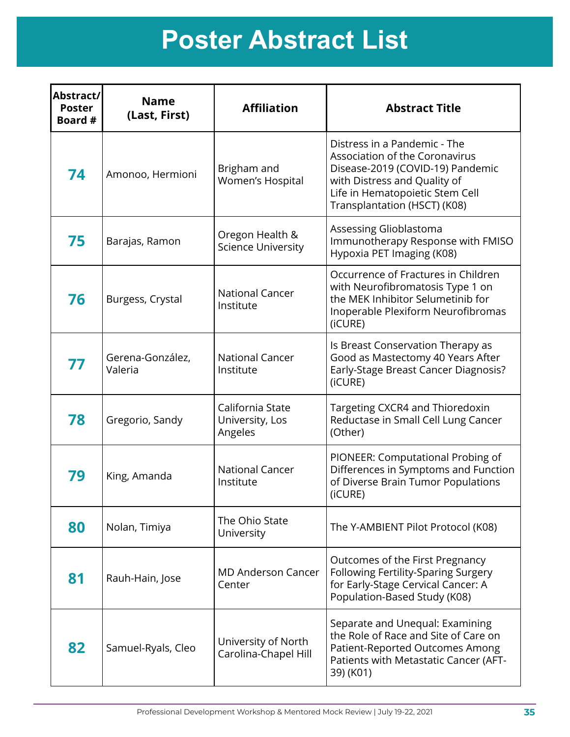| Abstract/<br><b>Poster</b><br>Board # | <b>Name</b><br>(Last, First) | <b>Affiliation</b>                             | <b>Abstract Title</b>                                                                                                                                                                                 |
|---------------------------------------|------------------------------|------------------------------------------------|-------------------------------------------------------------------------------------------------------------------------------------------------------------------------------------------------------|
| 74                                    | Amonoo, Hermioni             | Brigham and<br>Women's Hospital                | Distress in a Pandemic - The<br>Association of the Coronavirus<br>Disease-2019 (COVID-19) Pandemic<br>with Distress and Quality of<br>Life in Hematopoietic Stem Cell<br>Transplantation (HSCT) (K08) |
| 75                                    | Barajas, Ramon               | Oregon Health &<br><b>Science University</b>   | Assessing Glioblastoma<br>Immunotherapy Response with FMISO<br>Hypoxia PET Imaging (K08)                                                                                                              |
| 76                                    | Burgess, Crystal             | <b>National Cancer</b><br>Institute            | Occurrence of Fractures in Children<br>with Neurofibromatosis Type 1 on<br>the MEK Inhibitor Selumetinib for<br>Inoperable Plexiform Neurofibromas<br>(iCURE)                                         |
| 77                                    | Gerena-González,<br>Valeria  | <b>National Cancer</b><br>Institute            | Is Breast Conservation Therapy as<br>Good as Mastectomy 40 Years After<br>Early-Stage Breast Cancer Diagnosis?<br>(iCURE)                                                                             |
| 78                                    | Gregorio, Sandy              | California State<br>University, Los<br>Angeles | Targeting CXCR4 and Thioredoxin<br>Reductase in Small Cell Lung Cancer<br>(Other)                                                                                                                     |
| 79                                    | King, Amanda                 | <b>National Cancer</b><br>Institute            | PIONEER: Computational Probing of<br>Differences in Symptoms and Function<br>of Diverse Brain Tumor Populations<br>(iCURE)                                                                            |
| 80                                    | Nolan, Timiya                | The Ohio State<br>University                   | The Y-AMBIENT Pilot Protocol (K08)                                                                                                                                                                    |
| 81                                    | Rauh-Hain, Jose              | <b>MD Anderson Cancer</b><br>Center            | Outcomes of the First Pregnancy<br>Following Fertility-Sparing Surgery<br>for Early-Stage Cervical Cancer: A<br>Population-Based Study (K08)                                                          |
| 82                                    | Samuel-Ryals, Cleo           | University of North<br>Carolina-Chapel Hill    | Separate and Unequal: Examining<br>the Role of Race and Site of Care on<br>Patient-Reported Outcomes Among<br>Patients with Metastatic Cancer (AFT-<br>39) (K01)                                      |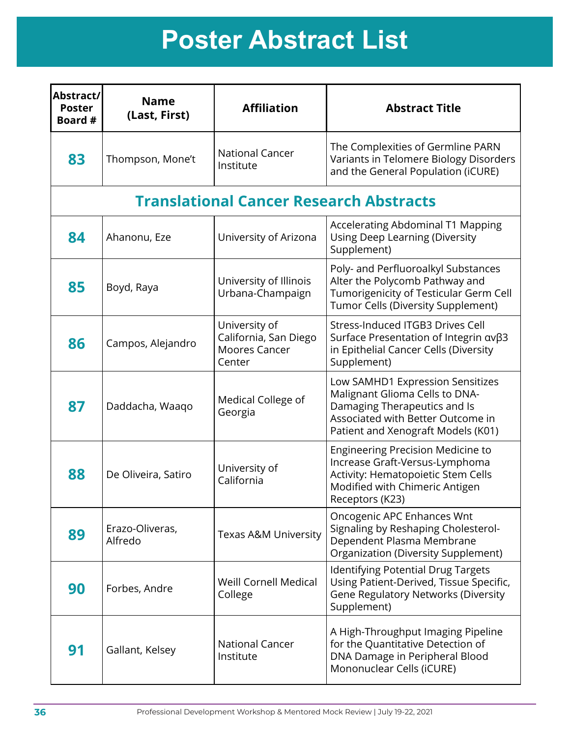| Abstract/<br><b>Poster</b><br>Board # | <b>Name</b><br>(Last, First) | <b>Affiliation</b>                                                       | <b>Abstract Title</b>                                                                                                                                                         |
|---------------------------------------|------------------------------|--------------------------------------------------------------------------|-------------------------------------------------------------------------------------------------------------------------------------------------------------------------------|
| 83                                    | Thompson, Mone't             | <b>National Cancer</b><br>Institute                                      | The Complexities of Germline PARN<br>Variants in Telomere Biology Disorders<br>and the General Population (iCURE)                                                             |
|                                       |                              | <b>Translational Cancer Research Abstracts</b>                           |                                                                                                                                                                               |
| 84                                    | Ahanonu, Eze                 | University of Arizona                                                    | Accelerating Abdominal T1 Mapping<br><b>Using Deep Learning (Diversity</b><br>Supplement)                                                                                     |
| 85                                    | Boyd, Raya                   | University of Illinois<br>Urbana-Champaign                               | Poly- and Perfluoroalkyl Substances<br>Alter the Polycomb Pathway and<br>Tumorigenicity of Testicular Germ Cell<br>Tumor Cells (Diversity Supplement)                         |
| 86                                    | Campos, Alejandro            | University of<br>California, San Diego<br><b>Moores Cancer</b><br>Center | Stress-Induced ITGB3 Drives Cell<br>Surface Presentation of Integrin ανβ3<br>in Epithelial Cancer Cells (Diversity<br>Supplement)                                             |
| 87                                    | Daddacha, Waaqo              | Medical College of<br>Georgia                                            | Low SAMHD1 Expression Sensitizes<br>Malignant Glioma Cells to DNA-<br>Damaging Therapeutics and Is<br>Associated with Better Outcome in<br>Patient and Xenograft Models (K01) |
| 88                                    | De Oliveira, Satiro          | University of<br>California                                              | Engineering Precision Medicine to<br>Increase Graft-Versus-Lymphoma<br>Activity: Hematopoietic Stem Cells<br>Modified with Chimeric Antigen<br>Receptors (K23)                |
| 89                                    | Erazo-Oliveras,<br>Alfredo   | <b>Texas A&amp;M University</b>                                          | Oncogenic APC Enhances Wnt<br>Signaling by Reshaping Cholesterol-<br>Dependent Plasma Membrane<br><b>Organization (Diversity Supplement)</b>                                  |
| 90                                    | Forbes, Andre                | <b>Weill Cornell Medical</b><br>College                                  | <b>Identifying Potential Drug Targets</b><br>Using Patient-Derived, Tissue Specific,<br><b>Gene Regulatory Networks (Diversity</b><br>Supplement)                             |
| 91                                    | Gallant, Kelsey              | <b>National Cancer</b><br>Institute                                      | A High-Throughput Imaging Pipeline<br>for the Quantitative Detection of<br>DNA Damage in Peripheral Blood<br>Mononuclear Cells (iCURE)                                        |